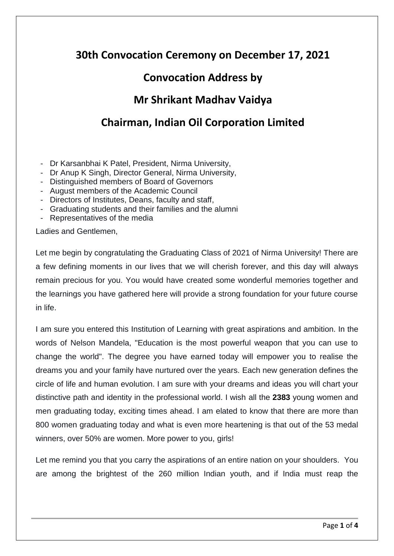## **30th Convocation Ceremony on December 17, 2021**

## **Convocation Address by**

## **Mr Shrikant Madhav Vaidya**

## **Chairman, Indian Oil Corporation Limited**

- Dr Karsanbhai K Patel, President, Nirma University,
- Dr Anup K Singh, Director General, Nirma University,
- Distinguished members of Board of Governors
- August members of the Academic Council
- Directors of Institutes, Deans, faculty and staff,
- Graduating students and their families and the alumni
- Representatives of the media

Ladies and Gentlemen,

Let me begin by congratulating the Graduating Class of 2021 of Nirma University! There are a few defining moments in our lives that we will cherish forever, and this day will always remain precious for you. You would have created some wonderful memories together and the learnings you have gathered here will provide a strong foundation for your future course in life.

I am sure you entered this Institution of Learning with great aspirations and ambition. In the words of Nelson Mandela, "Education is the most powerful weapon that you can use to change the world". The degree you have earned today will empower you to realise the dreams you and your family have nurtured over the years. Each new generation defines the circle of life and human evolution. I am sure with your dreams and ideas you will chart your distinctive path and identity in the professional world. I wish all the **2383** young women and men graduating today, exciting times ahead. I am elated to know that there are more than 800 women graduating today and what is even more heartening is that out of the 53 medal winners, over 50% are women. More power to you, girls!

Let me remind you that you carry the aspirations of an entire nation on your shoulders. You are among the brightest of the 260 million Indian youth, and if India must reap the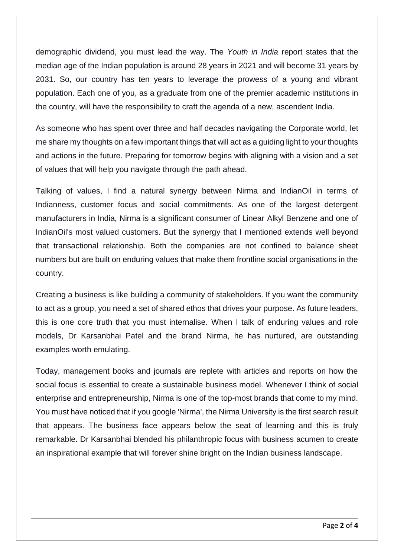demographic dividend, you must lead the way. The *Youth in India* report states that the median age of the Indian population is around 28 years in 2021 and will become 31 years by 2031. So, our country has ten years to leverage the prowess of a young and vibrant population. Each one of you, as a graduate from one of the premier academic institutions in the country, will have the responsibility to craft the agenda of a new, ascendent India.

As someone who has spent over three and half decades navigating the Corporate world, let me share my thoughts on a few important things that will act as a guiding light to your thoughts and actions in the future. Preparing for tomorrow begins with aligning with a vision and a set of values that will help you navigate through the path ahead.

Talking of values, I find a natural synergy between Nirma and IndianOil in terms of Indianness, customer focus and social commitments. As one of the largest detergent manufacturers in India, Nirma is a significant consumer of Linear Alkyl Benzene and one of IndianOil's most valued customers. But the synergy that I mentioned extends well beyond that transactional relationship. Both the companies are not confined to balance sheet numbers but are built on enduring values that make them frontline social organisations in the country.

Creating a business is like building a community of stakeholders. If you want the community to act as a group, you need a set of shared ethos that drives your purpose. As future leaders, this is one core truth that you must internalise. When I talk of enduring values and role models, Dr Karsanbhai Patel and the brand Nirma, he has nurtured, are outstanding examples worth emulating.

Today, management books and journals are replete with articles and reports on how the social focus is essential to create a sustainable business model. Whenever I think of social enterprise and entrepreneurship, Nirma is one of the top-most brands that come to my mind. You must have noticed that if you google 'Nirma', the Nirma University is the first search result that appears. The business face appears below the seat of learning and this is truly remarkable. Dr Karsanbhai blended his philanthropic focus with business acumen to create an inspirational example that will forever shine bright on the Indian business landscape.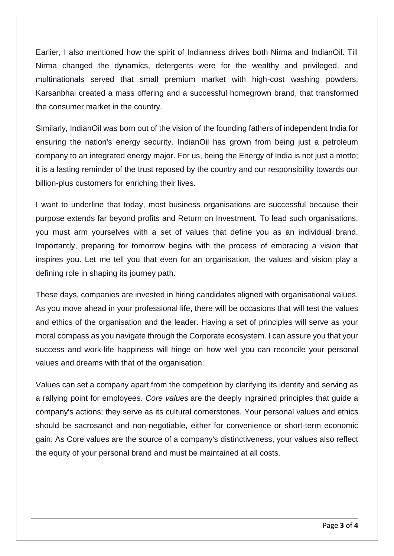Earlier, I also mentioned how the spirit of Indianness drives both Nirma and IndianOil. Till Nirma changed the dynamics, detergents were for the wealthy and privileged, and multinationals served that small premium market with high-cost washing powders. Karsanbhai created a mass offering and a successful homegrown brand, that transformed the consumer market in the country.

Similarly, IndianOil was born out of the vision of the founding fathers of independent India for ensuring the nation's energy security. IndianOil has grown from being just a petroleum company to an integrated energy major. For us, being the Energy of India is not just a motto; it is a lasting reminder of the trust reposed by the country and our responsibility towards our billion-plus customers for enriching their lives.

I want to underline that today, most business organisations are successful because their purpose extends far beyond profits and Return on Investment. To lead such organisations, you must arm yourselves with a set of values that define you as an individual brand. Importantly, preparing for tomorrow begins with the process of embracing a vision that inspires you. Let me tell you that even for an organisation, the values and vision play a defining role in shaping its journey path.

These days, companies are invested in hiring candidates aligned with organisational values. As you move ahead in your professional life, there will be occasions that will test the values and ethics of the organisation and the leader. Having a set of principles will serve as your moral compass as you navigate through the Corporate ecosystem. I can assure you that your success and work-life happiness will hinge on how well you can reconcile your personal values and dreams with that of the organisation.

Values can set a company apart from the competition by clarifying its identity and serving as a rallying point for employees. *Core values* are the deeply ingrained principles that guide a company's actions; they serve as its cultural cornerstones. Your personal values and ethics should be sacrosanct and non-negotiable, either for convenience or short-term economic gain. As Core values are the source of a company's distinctiveness, your values also reflect the equity of your personal brand and must be maintained at all costs.